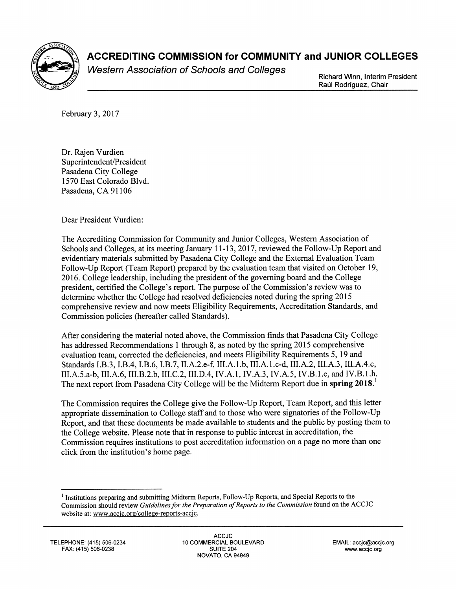

## **ACCREDITING COMMISSION for COMMUNITY and JUNIOR COLLEGES**

Western Association of Schools and Colleges<br>Richard Winn, Interim President

Raúl Rodríguez, Chair

February 3, 2017

Dr. Rajen Vurdien Superintendent/President Pasadena City College 1570 East Colorado Blvd. Pasadena, CA 91106

Dear President Vurdien:

The Accrediting Commission for Community and Junior Colleges, Western Association of Schools and Colleges, at its meeting January 11-13,2017, reviewed the Follow-Up Report and evidentiary materials submitted by Pasadena City College and the External Evaluation Team Follow-Up Report (Team Report) prepared by the evaluation team that visited on October 19, 2016. College leadership, including the president of the governing board and the College president, certified the College's report. The purpose of the Commission's review was to determine whether the College had resolved deficiencies noted during the spring 2015 comprehensive review and now meets Eligibility Requirements, Accreditation Standards, and Commission policies (hereafter called Standards).

After considering the material noted above, the Commission finds that Pasadena City College has addressed Recommendations 1 through 8, as noted by the spring 2015 comprehensive evaluation team, corrected the deficiencies, and meets Eligibility Requirements 5, 19 and Standards I.B.3, I.B.4, I.B.6, I.B.7, II.A.2.e-f, III.A.1.b, III.A.1.c-d, III.A.2, III.A.3, III.A.4.c, III.A.5.a-b, III.A.6, III.B.2.b, III.C.2, III.D.4, IV.A.1, IV.A.3, IV.A.5, IV.B.1.e, and IV.B.1.h. The next report from Pasadena City College will be the Midterm Report due in spring 2018.

The Commission requires the College give the Follow-Up Report, Team Report, and this letter appropriate dissemination to College staff and to those who were signatories of the Follow-Up Report, and that these documents be made available to students and the public by posting them to the College website. Please note that in response to public interest in accreditation, the Commission requires institutions to post accreditation information on a page no more than one click from the institution's home page.

<sup>&</sup>lt;sup>1</sup> Institutions preparing and submitting Midterm Reports, Follow-Up Reports, and Special Reports to the Commission should review *Guidelines for the Preparation of Reports to the Commission* found on the ACCJC website at: www.accjc.org/college-reports-accjc.